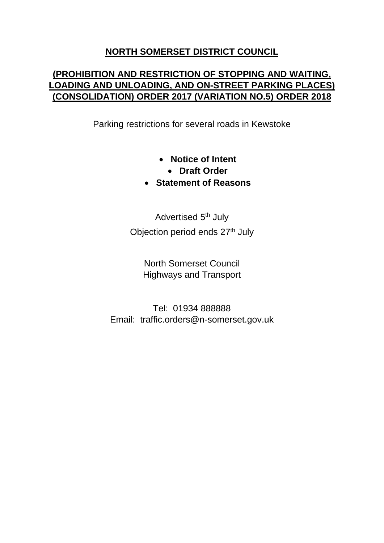# **NORTH SOMERSET DISTRICT COUNCIL**

# **(PROHIBITION AND RESTRICTION OF STOPPING AND WAITING, LOADING AND UNLOADING, AND ON-STREET PARKING PLACES) (CONSOLIDATION) ORDER 2017 (VARIATION NO.5) ORDER 2018**

Parking restrictions for several roads in Kewstoke

- **Notice of Intent** 
	- **Draft Order**
- **Statement of Reasons**

Advertised 5<sup>th</sup> July Objection period ends 27<sup>th</sup> July

> North Somerset Council Highways and Transport

Tel: 01934 888888 Email: traffic.orders@n-somerset.gov.uk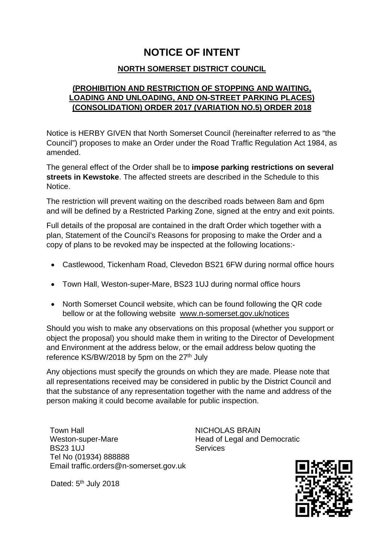# **NOTICE OF INTENT**

### **NORTH SOMERSET DISTRICT COUNCIL**

## **(PROHIBITION AND RESTRICTION OF STOPPING AND WAITING, LOADING AND UNLOADING, AND ON-STREET PARKING PLACES) (CONSOLIDATION) ORDER 2017 (VARIATION NO.5) ORDER 2018**

Notice is HERBY GIVEN that North Somerset Council (hereinafter referred to as "the Council") proposes to make an Order under the Road Traffic Regulation Act 1984, as amended.

The general effect of the Order shall be to **impose parking restrictions on several streets in Kewstoke**. The affected streets are described in the Schedule to this Notice.

The restriction will prevent waiting on the described roads between 8am and 6pm and will be defined by a Restricted Parking Zone, signed at the entry and exit points.

Full details of the proposal are contained in the draft Order which together with a plan, Statement of the Council's Reasons for proposing to make the Order and a copy of plans to be revoked may be inspected at the following locations:-

- Castlewood, Tickenham Road, Clevedon BS21 6FW during normal office hours
- Town Hall, Weston-super-Mare, BS23 1UJ during normal office hours
- North Somerset Council website, which can be found following the QR code bellow or at the following website www.n-somerset.gov.uk/notices

Should you wish to make any observations on this proposal (whether you support or object the proposal) you should make them in writing to the Director of Development and Environment at the address below, or the email address below quoting the reference KS/BW/2018 by 5pm on the 27<sup>th</sup> July

Any objections must specify the grounds on which they are made. Please note that all representations received may be considered in public by the District Council and that the substance of any representation together with the name and address of the person making it could become available for public inspection.

Town Hall Weston-super-Mare BS23 1UJ Tel No (01934) 888888 Email traffic.orders@n-somerset.gov.uk

Dated: 5<sup>th</sup> July 2018

NICHOLAS BRAIN Head of Legal and Democratic **Services** 

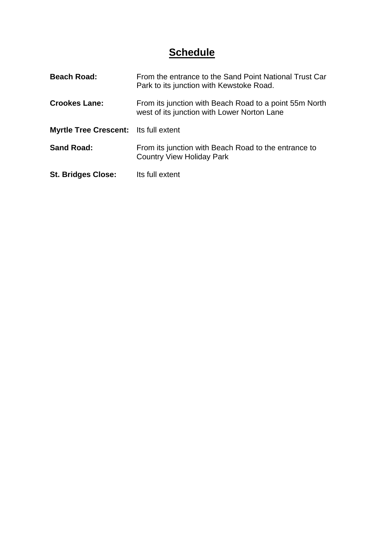# **Schedule**

| <b>Beach Road:</b>                           | From the entrance to the Sand Point National Trust Car<br>Park to its junction with Kewstoke Road.    |
|----------------------------------------------|-------------------------------------------------------------------------------------------------------|
| <b>Crookes Lane:</b>                         | From its junction with Beach Road to a point 55m North<br>west of its junction with Lower Norton Lane |
| <b>Myrtle Tree Crescent:</b> Its full extent |                                                                                                       |
| <b>Sand Road:</b>                            | From its junction with Beach Road to the entrance to<br><b>Country View Holiday Park</b>              |
| <b>St. Bridges Close:</b>                    | Its full extent                                                                                       |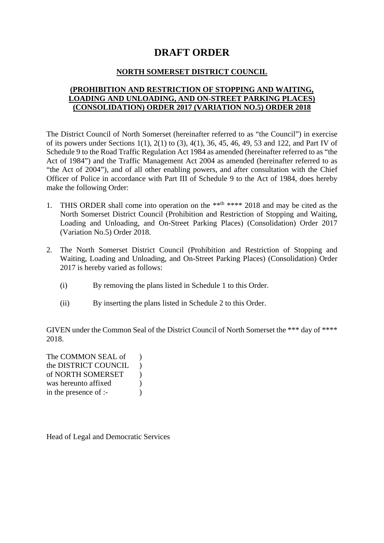# **DRAFT ORDER**

#### **NORTH SOMERSET DISTRICT COUNCIL**

#### **(PROHIBITION AND RESTRICTION OF STOPPING AND WAITING, LOADING AND UNLOADING, AND ON-STREET PARKING PLACES) (CONSOLIDATION) ORDER 2017 (VARIATION NO.5) ORDER 2018**

The District Council of North Somerset (hereinafter referred to as "the Council") in exercise of its powers under Sections 1(1), 2(1) to (3), 4(1), 36, 45, 46, 49, 53 and 122, and Part IV of Schedule 9 to the Road Traffic Regulation Act 1984 as amended (hereinafter referred to as "the Act of 1984") and the Traffic Management Act 2004 as amended (hereinafter referred to as "the Act of 2004"), and of all other enabling powers, and after consultation with the Chief Officer of Police in accordance with Part III of Schedule 9 to the Act of 1984, does hereby make the following Order:

- 1. THIS ORDER shall come into operation on the \*\*<sup>th</sup> \*\*\*\* 2018 and may be cited as the North Somerset District Council (Prohibition and Restriction of Stopping and Waiting, Loading and Unloading, and On-Street Parking Places) (Consolidation) Order 2017 (Variation No.5) Order 2018.
- 2. The North Somerset District Council (Prohibition and Restriction of Stopping and Waiting, Loading and Unloading, and On-Street Parking Places) (Consolidation) Order 2017 is hereby varied as follows:
	- (i) By removing the plans listed in Schedule 1 to this Order.
	- (ii) By inserting the plans listed in Schedule 2 to this Order.

GIVEN under the Common Seal of the District Council of North Somerset the \*\*\* day of \*\*\*\* 2018.

The COMMON SEAL of  $\qquad$ ) the DISTRICT COUNCIL ) of NORTH SOMERSET ) was hereunto affixed (a) in the presence of :-

Head of Legal and Democratic Services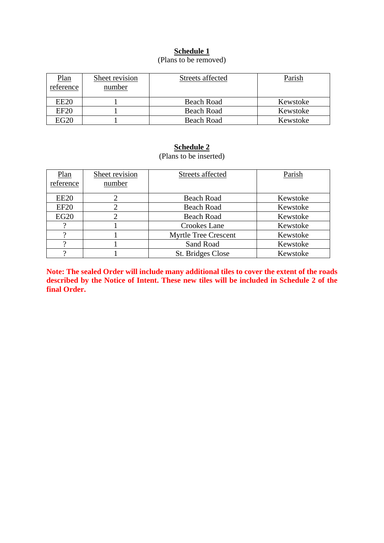## **Schedule 1**

### (Plans to be removed)

| <b>Plan</b><br>reference | Sheet revision<br>number | Streets affected | Parish   |
|--------------------------|--------------------------|------------------|----------|
| <b>EE20</b>              |                          | Beach Road       | Kewstoke |
| EF20                     |                          | Beach Road       | Kewstoke |
| EG20                     |                          | Beach Road       | Kewstoke |

#### **Schedule 2**

(Plans to be inserted)

| Plan<br>reference | Sheet revision<br>number | Streets affected            | Parish   |
|-------------------|--------------------------|-----------------------------|----------|
|                   |                          |                             |          |
| <b>EE20</b>       | 2                        | Beach Road                  | Kewstoke |
| EF20              | 2                        | <b>Beach Road</b>           | Kewstoke |
| EG20              |                          | <b>Beach Road</b>           | Kewstoke |
|                   |                          | Crookes Lane                | Kewstoke |
|                   |                          | <b>Myrtle Tree Crescent</b> | Kewstoke |
|                   |                          | Sand Road                   | Kewstoke |
|                   |                          | St. Bridges Close           | Kewstoke |

**Note: The sealed Order will include many additional tiles to cover the extent of the roads**  described by the Notice of Intent. These new tiles will be included in Schedule 2 of the **final Order.**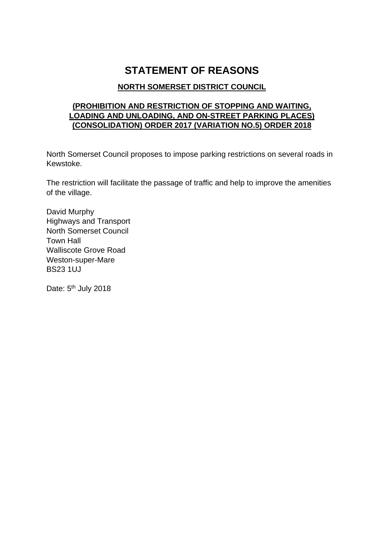# **STATEMENT OF REASONS**

## **NORTH SOMERSET DISTRICT COUNCIL**

### **(PROHIBITION AND RESTRICTION OF STOPPING AND WAITING, LOADING AND UNLOADING, AND ON-STREET PARKING PLACES) (CONSOLIDATION) ORDER 2017 (VARIATION NO.5) ORDER 2018**

North Somerset Council proposes to impose parking restrictions on several roads in Kewstoke.

The restriction will facilitate the passage of traffic and help to improve the amenities of the village.

David Murphy Highways and Transport North Somerset Council Town Hall Walliscote Grove Road Weston-super-Mare BS23 1UJ

Date: 5<sup>th</sup> July 2018